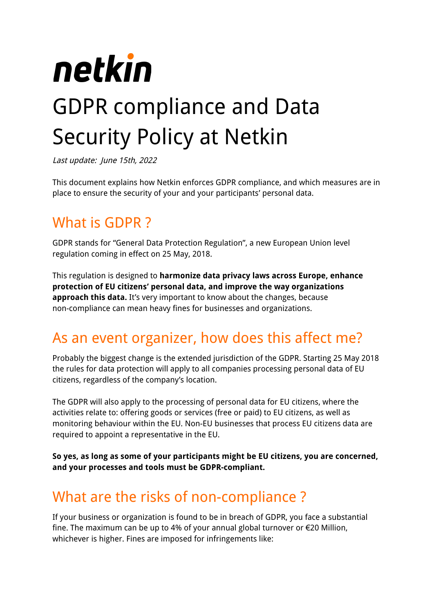

Last update: June 15th, 2022

This document explains how Netkin enforces GDPR compliance, and which measures are in place to ensure the security of your and your participants' personal data.

# What is GDPR ?

GDPR stands for "General Data Protection Regulation", a new European Union level regulation coming in effect on 25 May, 2018.

This regulation is designed to **harmonize data privacy laws across Europe, enhance protection of EU citizens' personal data, and improve the way organizations approach this data.** It's very important to know about the changes, because non-compliance can mean heavy fines for businesses and organizations.

# As an event organizer, how does this affect me?

Probably the biggest change is the extended jurisdiction of the GDPR. Starting 25 May 2018 the rules for data protection will apply to all companies processing personal data of EU citizens, regardless of the company's location.

The GDPR will also apply to the processing of personal data for EU citizens, where the activities relate to: offering goods or services (free or paid) to EU citizens, as well as monitoring behaviour within the EU. Non-EU businesses that process EU citizens data are required to appoint a representative in the EU.

**So yes, as long as some of your participants might be EU citizens, you are concerned, and your processes and tools must be GDPR-compliant.**

# What are the risks of non-compliance ?

If your business or organization is found to be in breach of GDPR, you face a substantial fine. The maximum can be up to 4% of your annual global turnover or €20 Million, whichever is higher. Fines are imposed for infringements like: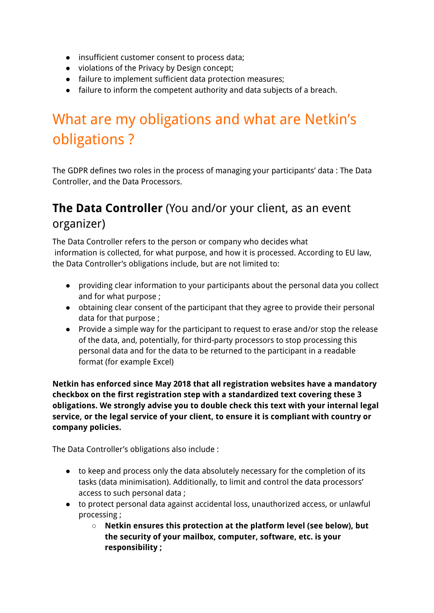- insufficient customer consent to process data;
- violations of the Privacy by Design concept;
- failure to implement sufficient data protection measures;
- failure to inform the competent authority and data subjects of a breach.

# What are my obligations and what are Netkin's obligations ?

The GDPR defines two roles in the process of managing your participants' data : The Data Controller, and the Data Processors.

## **The Data Controller** (You and/or your client, as an event organizer)

The Data Controller refers to the person or company who decides what information is collected, for what purpose, and how it is processed. According to EU law, the Data Controller's obligations include, but are not limited to:

- providing clear information to your participants about the personal data you collect and for what purpose ;
- obtaining clear consent of the participant that they agree to provide their personal data for that purpose ;
- Provide a simple way for the participant to request to erase and/or stop the release of the data, and, potentially, for third-party processors to stop processing this personal data and for the data to be returned to the participant in a readable format (for example Excel)

**Netkin has enforced since May 2018 that all registration websites have a mandatory checkbox on the first registration step with a standardized text covering these 3 obligations. We strongly advise you to double check this text with your internal legal service, or the legal service of your client, to ensure it is compliant with country or company policies.**

The Data Controller's obligations also include :

- to keep and process only the data absolutely necessary for the completion of its tasks (data minimisation). Additionally, to limit and control the data processors' access to such personal data ;
- to protect personal data against accidental loss, unauthorized access, or unlawful processing ;
	- **○ Netkin ensures this protection at the platform level (see below), but the security of your mailbox, computer, software, etc. is your responsibility ;**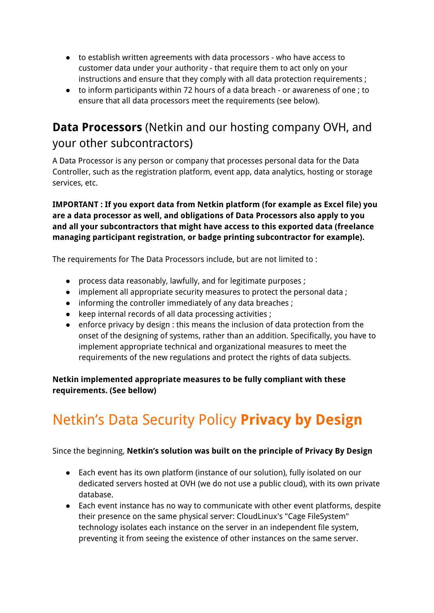- to establish written agreements with data processors who have access to customer data under your authority - that require them to act only on your instructions and ensure that they comply with all data protection requirements ;
- to inform participants within 72 hours of a data breach or awareness of one ; to ensure that all data processors meet the requirements (see below).

## **Data Processors** (Netkin and our hosting company OVH, and your other subcontractors)

A Data Processor is any person or company that processes personal data for the Data Controller, such as the registration platform, event app, data analytics, hosting or storage services, etc.

**IMPORTANT : If you export data from Netkin platform (for example as Excel file) you are a data processor as well, and obligations of Data Processors also apply to you and all your subcontractors that might have access to this exported data (freelance managing participant registration, or badge printing subcontractor for example).**

The requirements for The Data Processors include, but are not limited to :

- process data reasonably, lawfully, and for legitimate purposes ;
- implement all appropriate security measures to protect the personal data ;
- informing the controller immediately of any data breaches;
- keep internal records of all data processing activities ;
- enforce privacy by design : this means the inclusion of data protection from the onset of the designing of systems, rather than an addition. Specifically, you have to implement appropriate technical and organizational measures to meet the requirements of the new regulations and protect the rights of data subjects.

**Netkin implemented appropriate measures to be fully compliant with these requirements. (See bellow)**

# Netkin's Data Security Policy **Privacy by Design**

Since the beginning, **Netkin's solution was built on the principle of Privacy By Design**

- Each event has its own platform (instance of our solution), fully isolated on our dedicated servers hosted at OVH (we do not use a public cloud), with its own private database.
- Each event instance has no way to communicate with other event platforms, despite their presence on the same physical server: CloudLinux's "Cage FileSystem" technology isolates each instance on the server in an independent file system, preventing it from seeing the existence of other instances on the same server.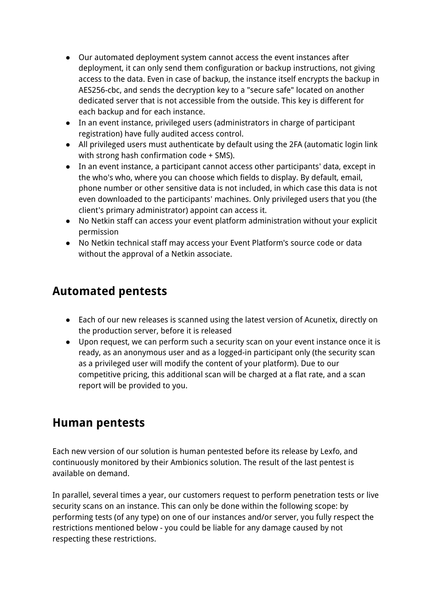- Our automated deployment system cannot access the event instances after deployment, it can only send them configuration or backup instructions, not giving access to the data. Even in case of backup, the instance itself encrypts the backup in AES256-cbc, and sends the decryption key to a "secure safe" located on another dedicated server that is not accessible from the outside. This key is different for each backup and for each instance.
- In an event instance, privileged users (administrators in charge of participant registration) have fully audited access control.
- All privileged users must authenticate by default using the 2FA (automatic login link with strong hash confirmation code + SMS).
- In an event instance, a participant cannot access other participants' data, except in the who's who, where you can choose which fields to display. By default, email, phone number or other sensitive data is not included, in which case this data is not even downloaded to the participants' machines. Only privileged users that you (the client's primary administrator) appoint can access it.
- No Netkin staff can access your event platform administration without your explicit permission
- No Netkin technical staff may access your Event Platform's source code or data without the approval of a Netkin associate.

### **Automated pentests**

- Each of our new releases is scanned using the latest version of Acunetix, directly on the production server, before it is released
- Upon request, we can perform such a security scan on your event instance once it is ready, as an anonymous user and as a logged-in participant only (the security scan as a privileged user will modify the content of your platform). Due to our competitive pricing, this additional scan will be charged at a flat rate, and a scan report will be provided to you.

### **Human pentests**

Each new version of our solution is human pentested before its release by Lexfo, and continuously monitored by their Ambionics solution. The result of the last pentest is available on demand.

In parallel, several times a year, our customers request to perform penetration tests or live security scans on an instance. This can only be done within the following scope: by performing tests (of any type) on one of our instances and/or server, you fully respect the restrictions mentioned below - you could be liable for any damage caused by not respecting these restrictions.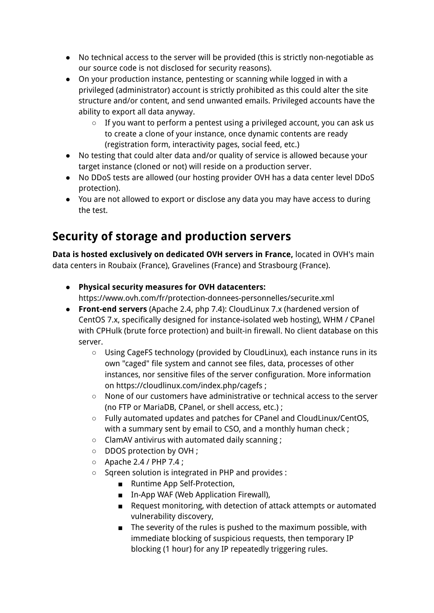- No technical access to the server will be provided (this is strictly non-negotiable as our source code is not disclosed for security reasons).
- On your production instance, pentesting or scanning while logged in with a privileged (administrator) account is strictly prohibited as this could alter the site structure and/or content, and send unwanted emails. Privileged accounts have the ability to export all data anyway.
	- If you want to perform a pentest using a privileged account, you can ask us to create a clone of your instance, once dynamic contents are ready (registration form, interactivity pages, social feed, etc.)
- No testing that could alter data and/or quality of service is allowed because your target instance (cloned or not) will reside on a production server.
- No DDoS tests are allowed (our hosting provider OVH has a data center level DDoS protection).
- You are not allowed to export or disclose any data you may have access to during the test.

# **Security of storage and production servers**

**Data is hosted exclusively on dedicated OVH servers in France,** located in OVH's main data centers in Roubaix (France), Gravelines (France) and Strasbourg (France).

- **Physical security measures for OVH datacenters:** https://www.ovh.com/fr/protection-donnees-personnelles/securite.xml
- **Front-end servers** (Apache 2.4, php 7.4): CloudLinux 7.x (hardened version of CentOS 7.x, specifically designed for instance-isolated web hosting), WHM / CPanel with CPHulk (brute force protection) and built-in firewall. No client database on this server.
	- Using CageFS technology (provided by CloudLinux), each instance runs in its own "caged" file system and cannot see files, data, processes of other instances, nor sensitive files of the server configuration. More information on https://cloudlinux.com/index.php/cagefs ;
	- None of our customers have administrative or technical access to the server (no FTP or MariaDB, CPanel, or shell access, etc.) ;
	- Fully automated updates and patches for CPanel and CloudLinux/CentOS, with a summary sent by email to CSO, and a monthly human check ;
	- ClamAV antivirus with automated daily scanning ;
	- DDOS protection by OVH ;
	- Apache 2.4 / PHP 7.4 ;
	- Sqreen solution is integrated in PHP and provides :
		- Runtime App Self-Protection.
		- In-App WAF (Web Application Firewall),
		- Request monitoring, with detection of attack attempts or automated vulnerability discovery,
		- The severity of the rules is pushed to the maximum possible, with immediate blocking of suspicious requests, then temporary IP blocking (1 hour) for any IP repeatedly triggering rules.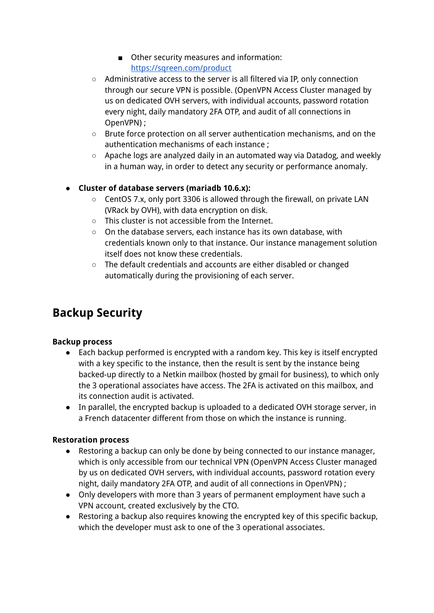- Other security measures and information: <https://sqreen.com/product>
- Administrative access to the server is all filtered via IP, only connection through our secure VPN is possible. (OpenVPN Access Cluster managed by us on dedicated OVH servers, with individual accounts, password rotation every night, daily mandatory 2FA OTP, and audit of all connections in OpenVPN) ;
- Brute force protection on all server authentication mechanisms, and on the authentication mechanisms of each instance ;
- Apache logs are analyzed daily in an automated way via Datadog, and weekly in a human way, in order to detect any security or performance anomaly.

#### **● Cluster of database servers (mariadb 10.6.x):**

- CentOS 7.x, only port 3306 is allowed through the firewall, on private LAN (VRack by OVH), with data encryption on disk.
- This cluster is not accessible from the Internet.
- On the database servers, each instance has its own database, with credentials known only to that instance. Our instance management solution itself does not know these credentials.
- The default credentials and accounts are either disabled or changed automatically during the provisioning of each server.

## **Backup Security**

#### **Backup process**

- Each backup performed is encrypted with a random key. This key is itself encrypted with a key specific to the instance, then the result is sent by the instance being backed-up directly to a Netkin mailbox (hosted by gmail for business), to which only the 3 operational associates have access. The 2FA is activated on this mailbox, and its connection audit is activated.
- In parallel, the encrypted backup is uploaded to a dedicated OVH storage server, in a French datacenter different from those on which the instance is running.

#### **Restoration process**

- Restoring a backup can only be done by being connected to our instance manager, which is only accessible from our technical VPN (OpenVPN Access Cluster managed by us on dedicated OVH servers, with individual accounts, password rotation every night, daily mandatory 2FA OTP, and audit of all connections in OpenVPN) ;
- Only developers with more than 3 years of permanent employment have such a VPN account, created exclusively by the CTO.
- Restoring a backup also requires knowing the encrypted key of this specific backup, which the developer must ask to one of the 3 operational associates.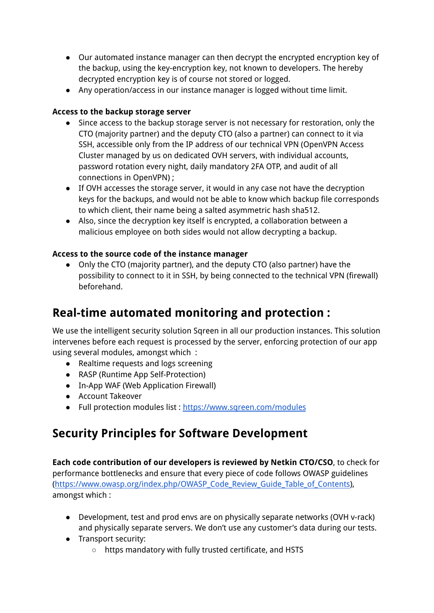- Our automated instance manager can then decrypt the encrypted encryption key of the backup, using the key-encryption key, not known to developers. The hereby decrypted encryption key is of course not stored or logged.
- Any operation/access in our instance manager is logged without time limit.

#### **Access to the backup storage server**

- Since access to the backup storage server is not necessary for restoration, only the CTO (majority partner) and the deputy CTO (also a partner) can connect to it via SSH, accessible only from the IP address of our technical VPN (OpenVPN Access Cluster managed by us on dedicated OVH servers, with individual accounts, password rotation every night, daily mandatory 2FA OTP, and audit of all connections in OpenVPN) ;
- If OVH accesses the storage server, it would in any case not have the decryption keys for the backups, and would not be able to know which backup file corresponds to which client, their name being a salted asymmetric hash sha512.
- Also, since the decryption key itself is encrypted, a collaboration between a malicious employee on both sides would not allow decrypting a backup.

#### **Access to the source code of the instance manager**

● Only the CTO (majority partner), and the deputy CTO (also partner) have the possibility to connect to it in SSH, by being connected to the technical VPN (firewall) beforehand.

## **Real-time automated monitoring and protection :**

We use the intelligent security solution Sareen in all our production instances. This solution intervenes before each request is processed by the server, enforcing protection of our app using several modules, amongst which :

- Realtime requests and logs screening
- RASP (Runtime App Self-Protection)
- In-App WAF (Web Application Firewall)
- Account Takeover
- Full protection modules list : <https://www.sqreen.com/modules>

## **Security Principles for Software Development**

**Each code contribution of our developers is reviewed by Netkin CTO/CSO**, to check for performance bottlenecks and ensure that every piece of code follows OWASP guidelines [\(https://www.owasp.org/index.php/OWASP\\_Code\\_Review\\_Guide\\_Table\\_of\\_Contents\)](https://www.owasp.org/index.php/OWASP_Code_Review_Guide_Table_of_Contents), amongst which :

- Development, test and prod envs are on physically separate networks (OVH v-rack) and physically separate servers. We don't use any customer's data during our tests.
- Transport security:
	- https mandatory with fully trusted certificate, and HSTS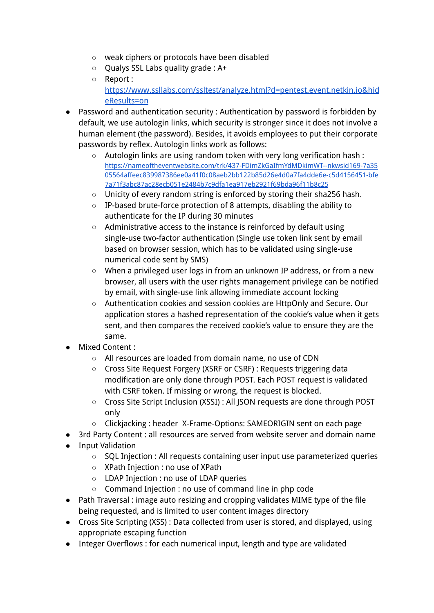- weak ciphers or protocols have been disabled
- Qualys SSL Labs quality grade : A+
- Report : [https://www.ssllabs.com/ssltest/analyze.html?d=pentest.event.netkin.io&hid](https://www.ssllabs.com/ssltest/analyze.html?d=pentest.event.netkin.io&hideResults=on) [eResults=on](https://www.ssllabs.com/ssltest/analyze.html?d=pentest.event.netkin.io&hideResults=on)
- Password and authentication security : Authentication by password is forbidden by default, we use autologin links, which security is stronger since it does not involve a human element (the password). Besides, it avoids employees to put their corporate passwords by reflex. Autologin links work as follows:
	- Autologin links are using random token with very long verification hash : [https://nameoftheventwebsite.com/trk/437-FDimZkGaIfmYdMDkimWT--nkwsid169-7a35](https://nameoftheventwebsite.com/trk/437-FDimZkGaIfmYdMDkimWT--nkwsid169-7a3505564affeec839987386ee0a41f0c08aeb2bb122b85d26e4d0a7fa4dde6e-c5d4156451-bfe7a71f3abc87ac28ecb051e2484b7c9dfa1ea917eb2921f69bda96f11b8c25) [05564affeec839987386ee0a41f0c08aeb2bb122b85d26e4d0a7fa4dde6e-c5d4156451-bfe](https://nameoftheventwebsite.com/trk/437-FDimZkGaIfmYdMDkimWT--nkwsid169-7a3505564affeec839987386ee0a41f0c08aeb2bb122b85d26e4d0a7fa4dde6e-c5d4156451-bfe7a71f3abc87ac28ecb051e2484b7c9dfa1ea917eb2921f69bda96f11b8c25) [7a71f3abc87ac28ecb051e2484b7c9dfa1ea917eb2921f69bda96f11b8c25](https://nameoftheventwebsite.com/trk/437-FDimZkGaIfmYdMDkimWT--nkwsid169-7a3505564affeec839987386ee0a41f0c08aeb2bb122b85d26e4d0a7fa4dde6e-c5d4156451-bfe7a71f3abc87ac28ecb051e2484b7c9dfa1ea917eb2921f69bda96f11b8c25)
	- Unicity of every random string is enforced by storing their sha256 hash.
	- IP-based brute-force protection of 8 attempts, disabling the ability to authenticate for the IP during 30 minutes
	- Administrative access to the instance is reinforced by default using single-use two-factor authentication (Single use token link sent by email based on browser session, which has to be validated using single-use numerical code sent by SMS)
	- When a privileged user logs in from an unknown IP address, or from a new browser, all users with the user rights management privilege can be notified by email, with single-use link allowing immediate account locking
	- Authentication cookies and session cookies are HttpOnly and Secure. Our application stores a hashed representation of the cookie's value when it gets sent, and then compares the received cookie's value to ensure they are the same.
- Mixed Content :
	- All resources are loaded from domain name, no use of CDN
	- Cross Site Request Forgery (XSRF or CSRF) : Requests triggering data modification are only done through POST. Each POST request is validated with CSRF token. If missing or wrong, the request is blocked.
	- Cross Site Script Inclusion (XSSI) : All JSON requests are done through POST only
	- Clickjacking : header X-Frame-Options: SAMEORIGIN sent on each page
- 3rd Party Content : all resources are served from website server and domain name
- Input Validation
	- SQL Injection : All requests containing user input use parameterized queries
	- XPath Injection : no use of XPath
	- LDAP Injection : no use of LDAP queries
	- Command Injection : no use of command line in php code
- Path Traversal : image auto resizing and cropping validates MIME type of the file being requested, and is limited to user content images directory
- Cross Site Scripting (XSS) : Data collected from user is stored, and displayed, using appropriate escaping function
- Integer Overflows : for each numerical input, length and type are validated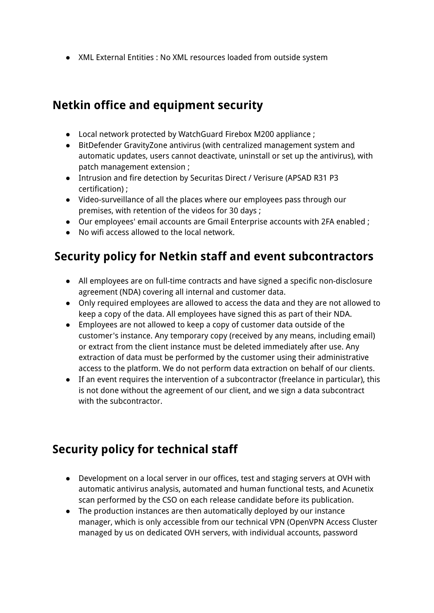● XML External Entities : No XML resources loaded from outside system

### **Netkin office and equipment security**

- Local network protected by WatchGuard Firebox M200 appliance ;
- BitDefender GravityZone antivirus (with centralized management system and automatic updates, users cannot deactivate, uninstall or set up the antivirus), with patch management extension ;
- Intrusion and fire detection by Securitas Direct / Verisure (APSAD R31 P3 certification) ;
- Video-surveillance of all the places where our employees pass through our premises, with retention of the videos for 30 days ;
- Our employees' email accounts are Gmail Enterprise accounts with 2FA enabled ;
- No wifi access allowed to the local network.

## **Security policy for Netkin staff and event subcontractors**

- All employees are on full-time contracts and have signed a specific non-disclosure agreement (NDA) covering all internal and customer data.
- Only required employees are allowed to access the data and they are not allowed to keep a copy of the data. All employees have signed this as part of their NDA.
- Employees are not allowed to keep a copy of customer data outside of the customer's instance. Any temporary copy (received by any means, including email) or extract from the client instance must be deleted immediately after use. Any extraction of data must be performed by the customer using their administrative access to the platform. We do not perform data extraction on behalf of our clients.
- If an event requires the intervention of a subcontractor (freelance in particular), this is not done without the agreement of our client, and we sign a data subcontract with the subcontractor

# **Security policy for technical staff**

- Development on a local server in our offices, test and staging servers at OVH with automatic antivirus analysis, automated and human functional tests, and Acunetix scan performed by the CSO on each release candidate before its publication.
- The production instances are then automatically deployed by our instance manager, which is only accessible from our technical VPN (OpenVPN Access Cluster managed by us on dedicated OVH servers, with individual accounts, password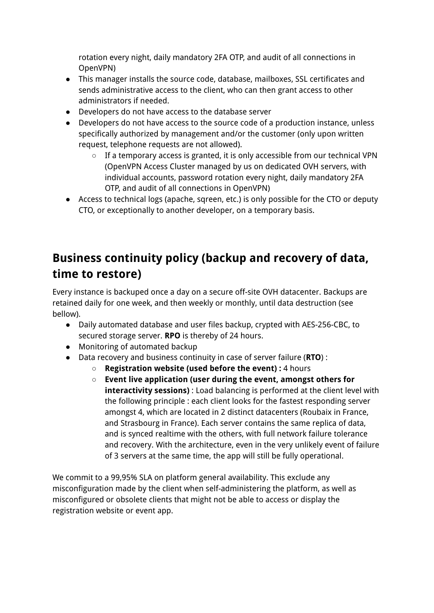rotation every night, daily mandatory 2FA OTP, and audit of all connections in OpenVPN)

- This manager installs the source code, database, mailboxes, SSL certificates and sends administrative access to the client, who can then grant access to other administrators if needed.
- Developers do not have access to the database server
- Developers do not have access to the source code of a production instance, unless specifically authorized by management and/or the customer (only upon written request, telephone requests are not allowed).
	- If a temporary access is granted, it is only accessible from our technical VPN (OpenVPN Access Cluster managed by us on dedicated OVH servers, with individual accounts, password rotation every night, daily mandatory 2FA OTP, and audit of all connections in OpenVPN)
- Access to technical logs (apache, sqreen, etc.) is only possible for the CTO or deputy CTO, or exceptionally to another developer, on a temporary basis.

## **Business continuity policy (backup and recovery of data, time to restore)**

Every instance is backuped once a day on a secure off-site OVH datacenter. Backups are retained daily for one week, and then weekly or monthly, until data destruction (see bellow).

- Daily automated database and user files backup, crypted with AES-256-CBC, to secured storage server. **RPO** is thereby of 24 hours.
- Monitoring of automated backup
- Data recovery and business continuity in case of server failure (**RTO**) :
	- **Registration website (used before the event) :** 4 hours
	- **Event live application (user during the event, amongst others for interactivity sessions)** : Load balancing is performed at the client level with the following principle : each client looks for the fastest responding server amongst 4, which are located in 2 distinct datacenters (Roubaix in France, and Strasbourg in France). Each server contains the same replica of data, and is synced realtime with the others, with full network failure tolerance and recovery. With the architecture, even in the very unlikely event of failure of 3 servers at the same time, the app will still be fully operational.

We commit to a 99,95% SLA on platform general availability. This exclude any misconfiguration made by the client when self-administering the platform, as well as misconfigured or obsolete clients that might not be able to access or display the registration website or event app.